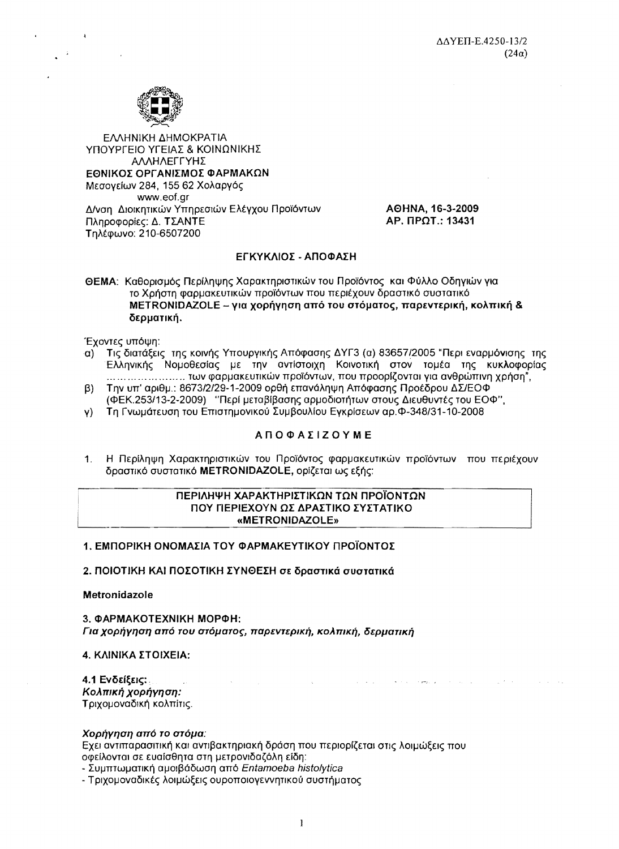

ΕΛΛΗΝΙΚΗ ΔΗΜΟΚΡΑΤΙΑ ΥΠΟΥΡΓΕΙΟ ΥΓΕΙΑΣ & ΚΟΙΝΩΝΙΚΗΣ ΑΛΛΗΛΕΓΓΥΗΣ ΕΘΝΙΚΟΣ ΟΡΓΑΝΙΣΜΟΣ ΦΑΡΜΑΚΩΝ Μεσογείων 284, 155 62 Χολαργός www.eof.gr Δ/νση Διοικητικών Υπηρεσιών Ελέγχου Προϊόντων Πληροφορίες: Δ. ΤΣΑΝΤΕ Τηλέφωνο: 210-6507200

AOHNA, 16-3-2009 AP. IIPOT.: 13431

and development of the contract of

**Contractor** 

**Contract Contract** 

# ΕΓΚΥΚΛΙΟΣ - ΑΠΟΦΑΣΗ

ΘΕΜΑ: Καθορισμός Περίληψης Χαρακτηριστικών του Προϊόντος και Φύλλο Οδηνιών νια το Χρήστη φαρμακευτικών προϊόντων που περιέχουν δραστικό συστατικό METRONIDAZOLE - για χορήγηση από του στόματος, παρεντερική, κολπική & δερματική.

Έχοντες υπόψη:

- Τις διατάξεις της κοινής Υπουργικής Απόφασης ΔΥΓ3 (α) 83657/2005 "Περι εναρμόνισης της **α)** Ελληνικής Νομοθεσίας με την αντίστοιχη Κοινοτική στον τομέα της κυκλοφορίας ... ... ... ... ... ... ... ... των φαρμακευτικών προϊόντων, που προορίζονται για ανθρώπινη χρήση".
- Την υπ' αριθμ.: 8673/2/29-1-2009 ορθή επανάληψη Απόφασης Προέδρου ΔΣ/ΕΟΦ  $\beta$ (ΦΕΚ.253/13-2-2009) "Περί μεταβίβασης αρμοδιοτήτων στους Διευθυντές του ΕΟΦ".
- γ) Τη Γνωμάτευση του Επιστημονικού Συμβουλίου Ενκρίσεων αρ. Φ-348/31-10-2008

# **ΑΠΟΦΑΣΙΖΟΥΜΕ**

Η Περίληψη Χαρακτηριστικών του Προϊόντος φαρμακευτικών προϊόντων που περιέχουν  $1$ δραστικό συστατικό METRONIDAZOLE, ορίζεται ως εξής:

### ΠΕΡΙΛΗΨΗ ΧΑΡΑΚΤΗΡΙΣΤΙΚΩΝ ΤΩΝ ΠΡΟΪΟΝΤΩΝ ΠΟΥ ΠΕΡΙΕΧΟΥΝ ΩΣ ΔΡΑΣΤΙΚΟ ΣΥΣΤΑΤΙΚΟ «METRONIDAZOLE»

1. ΕΜΠΟΡΙΚΗ ΟΝΟΜΑΣΙΑ ΤΟΥ ΦΑΡΜΑΚΕΥΤΙΚΟΥ ΠΡΟΪΟΝΤΟΣ

2. ΠΟΙΟΤΙΚΗ ΚΑΙ ΠΟΣΟΤΙΚΗ ΣΥΝΘΕΣΗ σε δραστικά συστατικά

Metronidazole

3. ФАРМАКОТЕХНІКН МОРФН: Για χορήγηση από του στόματος, παρεντερική, κολπική, δερματική

### 4. ΚΛΙΝΙΚΑ ΣΤΟΙΧΕΙΑ:

4.1 Ενδείξεις: Κολπική χορήγηση: Τριχομοναδική κολπίτις.

### Χορήγηση από το στόμα:

Εχει αντιπαρασιτική και αντιβακτηριακή δράση που περιορίζεται στις λοιμώξεις που οφείλονται σε ευαίσθητα στη μετρονιδαζόλη είδη:

- Συμπτωματική αμοιβάδωση από Entamoeba histolytica

- Τριχομοναδικές λοιμώξεις ουροποιογεννητικού συστήματος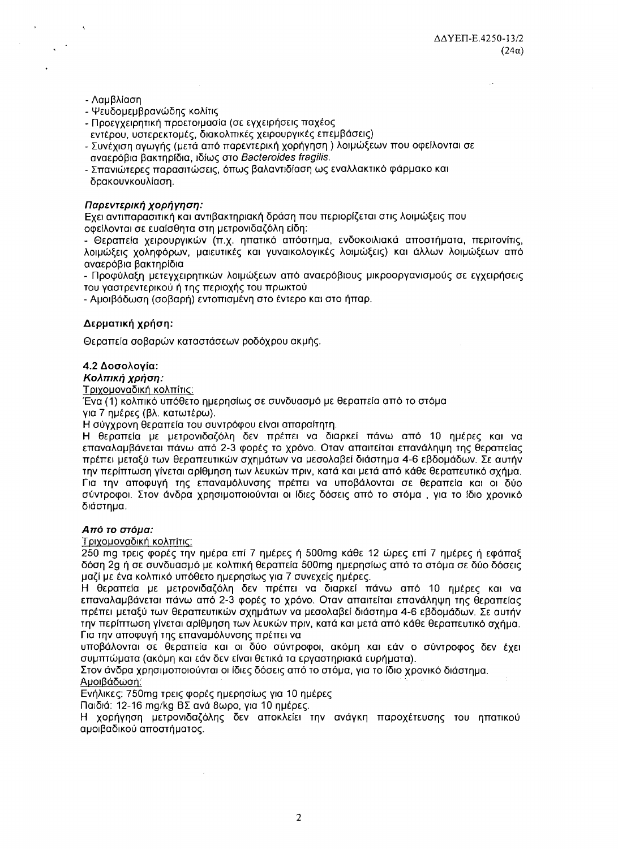### - Λαμβλίαση

- Ψευδομεμβρανώδης κολίτις
- Προεγχειρητική προετοιμασία (σε εγχειρήσεις παχέος
- εντέρου, υστερεκτομές, διακολπικές χειρουργικές επεμβάσεις)
- Συνέχιση αγωγής (μετά από παρεντερική χορήγηση ) λοιμώξεων που οφείλονται σε αναερόβια βακτηρίδια, ιδίως στο Bacteroides fragilis.
- Σπανιώτερες παρασιτώσεις, όπως βαλαντιδίαση ως εναλλακτικό φάρμακο και δρακουνκουλίαση.

### Παρεντερική χορήγηση:

Εχει αντιπαρασιτική και αντιβακτηριακή δράση που περιορίζεται στις λοιμώξεις που οφείλονται σε ευαίσθητα στη μετρονιδαζόλη είδη:

- Θεραπεία χειρουργικών (π.χ. ηπατικό απόστημα, ενδοκοιλιακά αποστήματα, περιτονίτις, λοιμώξεις χοληφόρων, μαιευτικές και γυναικολογικές λοιμώξεις) και άλλων λοιμώξεων από αναερόβια βακτηρίδια

- Προφύλαξη μετεγχειρητικών λοιμώξεων από αναερόβιους μικροοργανισμούς σε εγχειρήσεις του γαστρεντερικού ή της περιοχής του πρωκτού

- Αμοιβάδωση (σοβαρή) εντοπισμένη στο έντερο και στο ήπαρ.

### Δερματική χρήση:

Θεραπεία σοβαρών καταστάσεων ροδόχρου ακμής.

### 4.2 Δοσολογία:

Κολπική χρήση:

Τριχομοναδική κολπίτις:

Ένα (1) κολπικό υπόθετο ημερησίως σε συνδυασμό με θεραπεία από το στόμα για 7 ημέρες (βλ. κατωτέρω).

Η σύγχρονη θεραπεία του συντρόφου είναι απαραίτητη.

Η θεραπεία με μετρονιδαζόλη δεν πρέπει να διαρκεί πάνω από 10 ημέρες και να επαναλαμβάνεται πάνω από 2-3 φορές το χρόνο. Οταν απαιτείται επανάληψη της θεραπείας πρέπει μεταξύ των θεραπευτικών σχημάτων να μεσολαβεί διάστημα 4-6 εβδομάδων. Σε αυτήν την περίπτωση γίνεται αρίθμηση των λευκών πριν, κατά και μετά από κάθε θεραπευτικό σχήμα. Για την αποφυγή της επαναμόλυνσης πρέπει να υποβάλονται σε θεραπεία και οι δύο σύντροφοι. Στον άνδρα χρησιμοποιούνται οι ίδιες δόσεις από το στόμα, για το ίδιο χρονικό διάστημα.

### Από το στόμα:

Τριχομοναδική κολπίτις:

250 mg τρεις φορές την ημέρα επί 7 ημέρες ή 500mg κάθε 12 ώρες επί 7 ημέρες ή εφάπαξ δόση 2g ή σε συνδυασμό με κολπική θεραπεία 500mg ημερησίως από το στόμα σε δύο δόσεις μαζί με ένα κολπικό υπόθετο ημερησίως για 7 συνεχείς ημέρες.

Η θεραπεία με μετρονιδαζόλη δεν πρέπει να διαρκεί πάνω από 10 ημέρες και να επαναλαμβάνεται πάνω από 2-3 φορές το χρόνο. Οταν απαιτείται επανάληψη της θεραπείας πρέπει μεταξύ των θεραπευτικών σχημάτων να μεσολαβεί διάστημα 4-6 εβδομάδων. Σε αυτήν την περίπτωση γίνεται αρίθμηση των λευκών πριν, κατά και μετά από κάθε θεραπευτικό σχήμα. Για την αποφυγή της επαναμόλυνσης πρέπει να

υποβάλονται σε θεραπεία και οι δύο σύντροφοι, ακόμη και εάν ο σύντροφος δεν έχει συμπτώματα (ακόμη και εάν δεν είναι θετικά τα εργαστηριακά ευρήματα).

Στον άνδρα χρησιμοποιούνται οι ίδιες δόσεις από το στόμα, για το ίδιο χρονικό διάστημα. Αμοιβάδωση:

Ενήλικες: 750mg τρεις φορές ημερησίως για 10 ημέρες

Παιδιά: 12-16 mg/kg BΣ ανά 8ωρο, για 10 ημέρες.

Η χορήγηση μετρονιδαζόλης δεν αποκλείει την ανάγκη παροχέτευσης του ηπατικού αμοιβαδικού αποστήματος.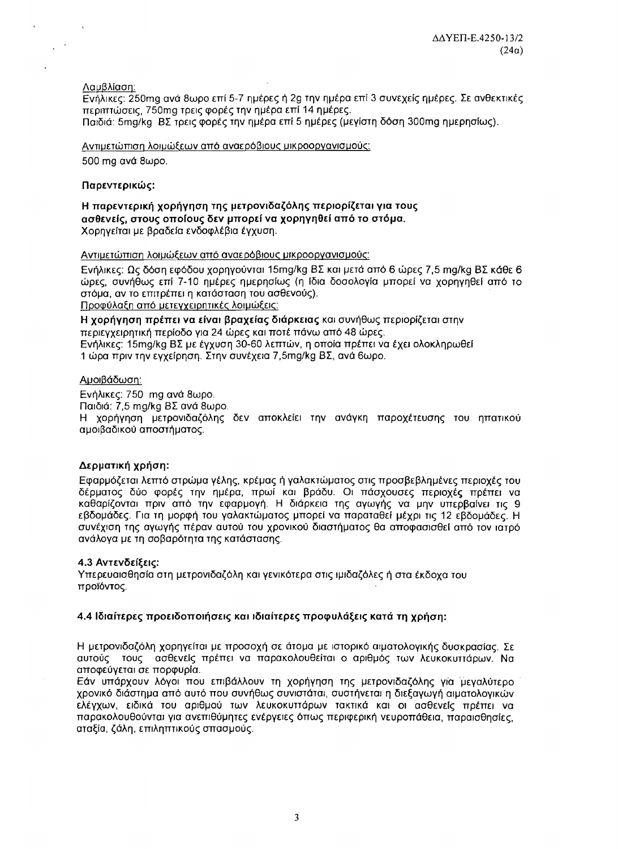Λαμβλίαση:

 $\overline{a}$ 

Εγήλικες: 250mg ανά 8ωρο επί 5-7 ημέρες ή 2g την ημέρα επί 3 συνεχείς ημέρες. Σε ανθεκτικές περιπτώσεις, 750mg τρεις φορές την ημέρα επί 14 ημέρες. Παιδιά: 5mg/kg BΣ τρεις φορές την ημέρα επί 5 ημέρες (μεγίστη δόση 300mg ημερησίως).

Αντιμετώπιση λοιμώξεων από αναερόβιους μικροοργανισμούς: 500 mg avá 8wpo.

# Παρεντερικώς:

Η παρεντερική χορήγηση της μετρονιδαζόλης περιορίζεται για τους ασθενείς, στους οποίους δεν μπορεί να χορηγηθεί από το στόμα. Χορηγείται με βραδεία ενδοφλέβια έγχυση.

Αντιμετώπιση λοιμώξεων από αναερόβιους μικροοργανισμούς:

Ενήλικες: Ως δόση εφόδου χορηγούνται 15mg/kg BΣ και μετά από 6 ώρες 7,5 mg/kg BΣ κάθε 6 ώρες, συνήθως επί 7-10 ημέρες ημερησίως (η ίδια δοσολογία μπορεί να χορηγηθεί από το στόμα, αν το επιτρέπει η κατάσταση του ασθενούς). Προφύλαξη από μετεγχειρητικές λοιμώξεις:

Η χορήγηση πρέπει να είναι βραχείας διάρκειας και συνήθως περιορίζεται στην περιεγχειρητική περίοδο για 24 ώρες και ποτέ πάνω από 48 ώρες. Ενήλικες: 15mg/kg ΒΣ με έγχυση 30-60 λεπτών, η οποία πρέπει να έχει ολοκληρωθεί 1 ώρα πριν την εγχείρηση. Στην συνέχεια 7,5mg/kg BΣ, ανά 6ωρο.

# Αμοιβάδωση:

Ενήλικες: 750 mg ανά 8ωρο. Παιδιά: 7,5 mg/kg BΣ ανά 8ωρο. Η χορήγηση μετρονιδαζόλης δεν αποκλείει την ανάγκη παροχέτευσης του ηπατικού αμοιβαδικού αποστήματος.

# Δερματική χρήση:

Εφαρμόζεται λεπτό στρώμα γέλης, κρέμας ή γαλακτώματος στις προσβεβλημένες περιοχές του δέρματος δύο φορές την ημέρα, πρωί και βράδυ. Οι πάσχουσες περιοχές πρέπει να καθαρίζονται πριν από την εφαρμογή. Η διάρκεια της αγωγής να μην υπερβαίνει τις 9 εβδομάδες. Για τη μορφή του γαλακτώματος μπορεί να παραταθεί μέχρι τις 12 εβδομάδες. Η συνέχιση της αγωγής πέραν αυτού του χρονικού διαστήματος θα αποφασισθεί από τον ιατρό ανάλονα με τη σοβαρότητα της κατάστασης.

### 4.3 Αντενδείξεις:

Υπερευαισθησία στη μετρονιδαζόλη και γενικότερα στις ιμιδαζόλες ή στα έκδοχα του προϊόντος.

# 4.4 Ιδιαίτερες προειδοποιήσεις και ιδιαίτερες προφυλάξεις κατά τη χρήση:

Η μετρονιδαζόλη χορηγείται με προσοχή σε άτομα με ιστορικό αιματολογικής δυσκρασίας. Σε αυτούς τους ασθενείς πρέπει να παρακολουθείται ο αριθμός των λευκοκυττάρων. Να αποφεύγεται σε πορφυρία.

Εάν υπάρχουν λόγοι που επιβάλλουν τη χορήγηση της μετρονιδαζόλης για μεγαλύτερο χρονικό διάστημα από αυτό που συνήθως συνιστάται, συστήνεται η διεξαγωγή αιματολογικών ελέγχων, ειδικά του αριθμού των λευκοκυττάρων τακτικά και οι ασθενείς πρέπει να παρακολουθούνται για ανεπιθύμητες ενέργειες όπως περιφερική νευροπάθεια, παραισθησίες, αταξία, ζάλη, επιληπτικούς σπασμούς.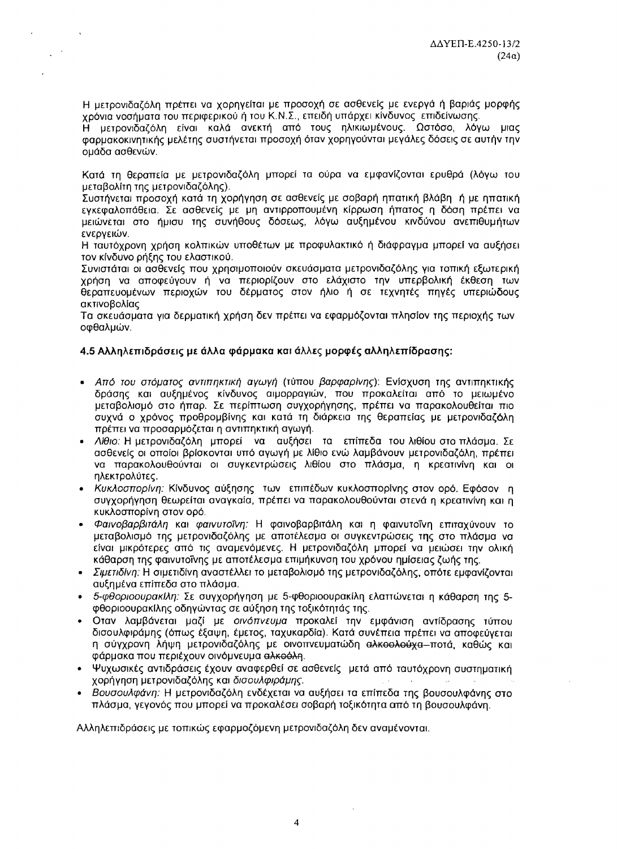Η μετρονιδαζόλη πρέπει να χορηγείται με προσοχή σε ασθενείς με ενεργά ή βαριάς μορφής χρόνια νοσήματα του περιφερικού ή του Κ.Ν.Σ., επειδή υπάρχει κίνδυνος επιδείνωσης.

Η μετρονιδαζόλη είναι καλά ανεκτή από τους ηλικιωμένους. Ωστόσο, λόγω μιας φαρμακοκινητικής μελέτης συστήνεται προσοχή όταν χορηγούνται μεγάλες δόσεις σε αυτήν την ομάδα ασθενών.

Κατά τη θεραπεία με μετρονιδαζόλη μπορεί τα ούρα να εμφανίζονται ερυθρά (λόγω του μεταβολίτη της μετρονιδαζόλης).

Συστήνεται προσοχή κατά τη χορήνηση σε ασθενείς με σοβαρή ηπατική βλάβη, ή με ηπατική εγκεφαλοπάθεια. Σε ασθενείς με μη αντιρροπουμένη κίρρωση ήπατος η δόση πρέπει να μειώνεται στο ήμισυ της συνήθους δόσεως, λόγω αυξημένου κινδύνου ανεπιθυμήτων ενερνειών.

Η ταυτόχρονη χρήση κολπικών υποθέτων με προφυλακτικό ή διάφραγμα μπορεί να αυξήσει τον κίνδυνο ρήξης του ελαστικού.

Συνιστάται οι ασθενείς που χρησιμοποιούν σκευάσματα μετρονιδαζόλης για τοπική εξωτερική χρήση να αποφεύγουν ή να περιορίζουν στο ελάχιστο την υπερβολική έκθεση των θεραπευομένων περιοχών του δέρματος στον ήλιο ή σε τεχνητές πηγές υπεριώδους ακτινοβολίας

Τα σκευάσματα για δερματική χρήση δεν πρέπει να εφαρμόζονται πλησίον της περιοχής των οφθαλμών.

# 4.5 Αλληλεπιδράσεις με άλλα φάρμακα και άλλες μορφές αλληλεπίδρασης:

- Από του στόματος αντιπηκτική αγωγή (τύπου βαρφαρίνης): Ενίσχυση της αντιπηκτικής δράσης και αυξημένος κίνδυνος αιμορραγιών, που προκαλείται από το μειωμένο μεταβολισμό στο ήπαρ. Σε περίπτωση συγχορήγησης, πρέπει να παρακολουθείται πιο συχνά ο χρόνος προθρομβίνης και κατά τη διάρκεια της θεραπείας με μετρονιδαζόλη πρέπει να προσαρμόζεται η αντιπηκτική αγωγή.
- Λίθιο: Η μετρονιδαζόλη μπορεί να αυξήσει τα επίπεδα του λιθίου στο πλάσμα. Σε ασθενείς οι οποίοι βρίσκονται υπό αγωγή με λίθιο ενώ λαμβάνουν μετρονιδαζόλη, πρέπει να παρακολουθούνται οι συγκεντρώσεις λιθίου στο πλάσμα, η κρεατινίνη και οι ηλεκτρολύτες.
- Κυκλοσπορίνη: Κίνδυνος αύξησης των επιπέδων κυκλοσπορίνης στον ορό. Εφόσον η συγχορήγηση θεωρείται αναγκαία, πρέπει να παρακολουθούνται στενά η κρεατινίνη και η κυκλοσπορίνη στον ορό.
- Φαινοβαρβιτάλη και φαινυτοΐνη: Η φαινοβαρβιτάλη και η φαινυτοΐνη επιταχύνουν το μεταβολισμό της μετρονιδαζόλης με αποτέλεσμα οι συγκεντρώσεις της στο πλάσμα να είναι μικρότερες από τις αναμενόμενες. Η μετρονιδαζόλη μπορεί να μειώσει την ολική κάθαρση της φαινυτοΐνης με αποτέλεσμα επιμήκυνση του χρόνου ημίσειας ζωής της.
- Σιμετιδίνη: Η σιμετιδίνη αναστέλλει το μεταβολισμό της μετρονιδαζόλης, οπότε εμφανίζονται αυξημένα επίπεδα στο πλάσμα.
- 5-φθοριοουρακίλη: Σε συγχορήγηση με 5-φθοριοουρακίλη ελαττώνεται η κάθαρση της 5φθοριοουρακίλης οδηγώντας σε αύξηση της τοξικότητάς της.
- · Οταν λαμβάνεται μαζί με οινόπνευμα προκαλεί την εμφάνιση αντίδρασης τύπου δισουλφιράμης (όπως έξαψη, έμετος, ταχυκαρδία). Κατά συνέπεια πρέπει να αποφεύγεται η σύγχρονη λήψη μετρονιδαζόλης με οινοπνευματώδη αλκοολούχα-ποτά, καθώς και φάρμακα που περιέχουν οινόμνευμα αλκοόλη.
- Ψυχωσικές αντιδράσεις έχουν αναφερθεί σε ασθενείς μετά από ταυτόχρονη συστηματική χορήγηση μετρονιδαζόλης και δισουλφιράμης.
- Βουσουλφάνη: Η μετρονιδαζόλη ενδέχεται να αυξήσει τα επίπεδα της βουσουλφάνης στο πλάσμα, γεγονός που μπορεί να προκαλέσει σοβαρή τοξικότητα από τη βουσουλφάνη.

Αλληλεπιδράσεις με τοπικώς εφαρμοζόμενη μετρονιδαζόλη δεν αναμένονται.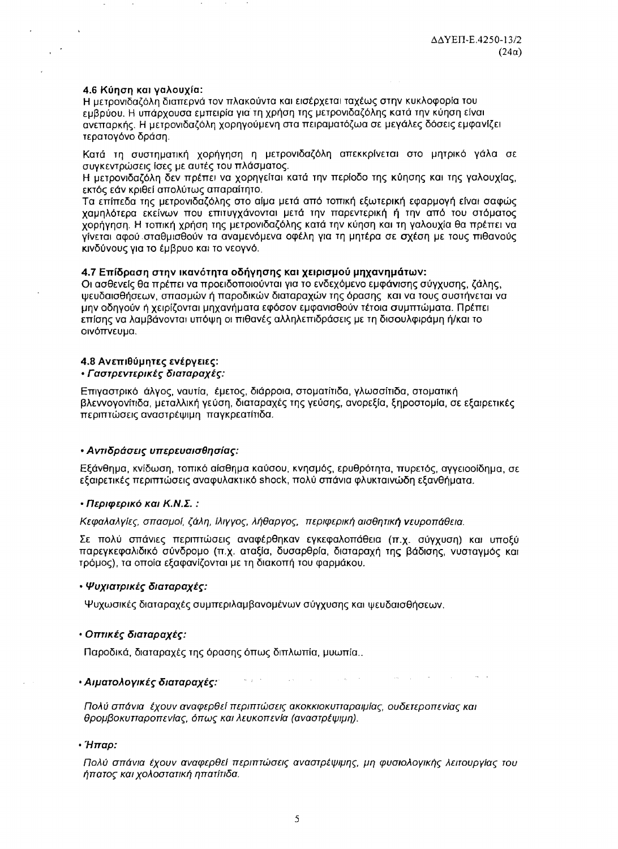### 4.6 Κύηση και γαλουχία:

Η μετρονιδαζόλη διαπερνά τον πλακούντα και εισέρχεται ταχέως στην κυκλοφορία του εμβρύου. Η υπάρχουσα εμπειρία για τη χρήση της μετρονιδαζόλης κατά την κύηση είναι ανεπαρκής. Η μετρονιδαζόλη χορηγούμενη στα πειραματόζωα σε μεγάλες δόσεις εμφανίζει τερατογόνο δράση.

Κατά τη συστηματική χορήγηση η μετρονιδαζόλη απεκκρίνεται στο μητρικό γάλα σε συγκεντρώσεις ίσες με αυτές του πλάσματος.

Η μετρονιδαζόλη δεν πρέπει να χορηγείται κατά την περίοδο της κύησης και της γαλουχίας, εκτός εάν κριθεί απολύτως απαραίτητο.

Τα επίπεδα της μετρονιδαζόλης στο αίμα μετά από τοπική εξωτερική εφαρμογή είναι σαφώς χαμηλότερα εκείνων που επιτυγχάνονται μετά την παρεντερική ή την από του στόματος χορήγηση. Η τοπική χρήση της μετρονιδαζόλης κατά την κύηση και τη γαλουχία θα πρέπει να γίνεται αφού σταθμισθούν τα αναμενόμενα οφέλη για τη μητέρα σε σχέση με τους πιθανούς κινδύνους για το έμβρυο και το νεογνό.

### 4.7 Επίδραση στην ικανότητα οδήγησης και χειρισμού μηχανημάτων:

Οι ασθενείς θα πρέπει να προειδοποιούνται για το ενδεχόμενο εμφάνισης σύγχυσης, ζάλης, ψευδαισθήσεων, σπασμών ή παροδικών διαταραχών της όρασης και να τους συστήνεται να μην οδηγούν ή χειρίζονται μηχανήματα εφόσον εμφανισθούν τέτοια συμπτώματα. Πρέπει επίσης να λαμβάνονται υπόψη οι πιθανές αλληλεπιδράσεις με τη δισουλφιράμη ή/και το οινόπνευμα.

#### 4.8 Ανεπιθύμητες ενέργειες:

### • Γαστρεντερικές διαταραχές:

Επιγαστρικό άλγος, ναυτία, έμετος, διάρροια, στοματίτιδα, γλωσσίτιδα, στοματική βλεννογονίτιδα, μεταλλική γεύση, διαταραχές της γεύσης, ανορεξία, ξηροστομία, σε εξαιρετικές περιπτώσεις αναστρέψιμη παγκρεατίτιδα.

### • Αντιδράσεις υπερευαισθησίας:

Εξάνθημα, κνίδωση, τοπικό αίσθημα καύσου, κνησμός, ερυθρότητα, πυρετός, αγγειοοίδημα, σε εξαιρετικές περιπτώσεις αναφυλακτικό shock, πολύ σπάνια φλυκταινώδη εξανθήματα.

#### • Περιφερικό και Κ.Ν.Σ. :

Κεφαλαλγίες, σπασμοί, ζάλη, ίλιγγος, λήθαργος, περιφερική αισθητική νευροπάθεια.

Σε πολύ σπάνιες περιπτώσεις αναφέρθηκαν εγκεφαλοπάθεια (π.χ. σύγχυση) και υποξύ παρεγκεφαλιδικό σύνδρομο (π.χ. αταξία, δυσαρθρία, διαταραχή της βάδισης, νυσταγμός και τρόμος), τα οποία εξαφανίζονται με τη διακοπή του φαρμάκου.

### • Ψυχιατρικές διαταραχές:

Ψυχωσικές διαταραχές συμπεριλαμβανομένων σύγχυσης και ψευδαισθήσεων.

### • Οπτικές διαταραχές:

Παροδικά, διαταραχές της όρασης όπως διπλωπία, μυωπία..

#### • Αιματολογικές διαταραχές:

Πολύ σπάνια έχουν αναφερθεί περιπτώσεις ακοκκιοκυτταραιμίας, ουδετεροπενίας και θρομβοκυτταροπενίας, όπως και λευκοπενία (αναστρέψιμη).

#### • Ήπαρ:

Πολύ σπάνια έχουν αναφερθεί περιπτώσεις αναστρέψιμης, μη φυσιολογικής λειτουργίας του ήπατος και χολοστατική ηπατίτιδα.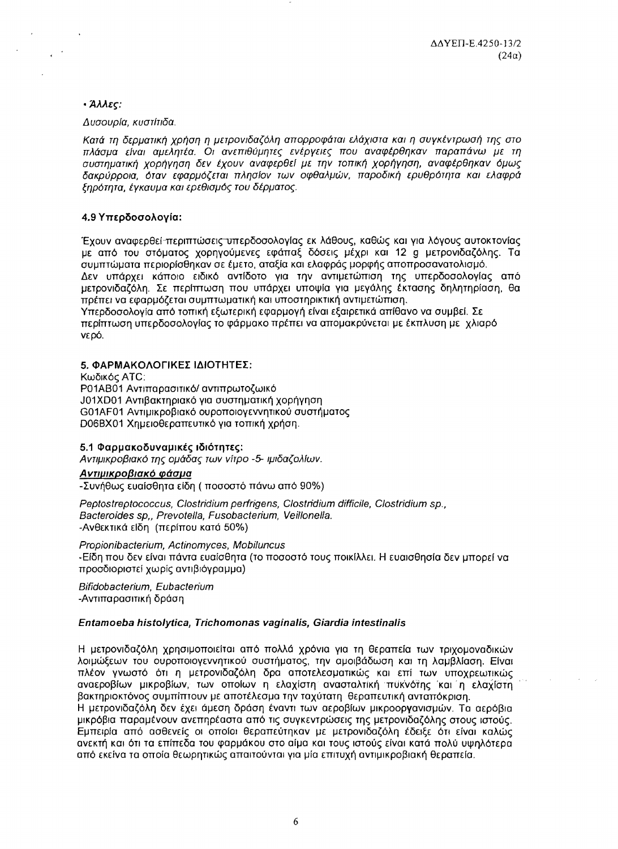# • Άλλες:

### Δυσουρία, κυστίτιδα.

Κατά τη δερματική χρήση η μετρονιδαζόλη απορροφάται ελάχιστα και η συγκέντρωσή της στο πλάσμα είναι αμελητέα. Οι ανεπιθύμητες ενέργειες που αναφέρθηκαν παραπάνω με τη συστηματική χορήγηση δεν έχουν αναφερθεί με την τοπική χορήγηση, αναφέρθηκαν όμως δακρύρροια, όταν εφαρμόζεται πλησίον των οφθαλμών, παροδική ερυθρότητα και ελαφρά ξηρότητα, έγκαυμα και ερεθισμός του δέρματος.

# 4.9 Υπερδοσολογία:

Έχουν αναφερθεί-περιπτώσεις υπερδοσολογίας εκ λάθους, καθώς και για λόγους αυτοκτονίας με από του στόματος χορηγούμενες εφάπαξ δόσεις μέχρι και 12 g μετρονιδαζόλης. Τα συμπτώματα περιορίσθηκαν σε έμετο, αταξία και ελαφράς μορφής αποπροσανατολισμό. Δεν υπάρχει κάποιο ειδικό αντίδοτο για την αντιμετώπιση της υπερδοσολογίας από μετρονιδαζόλη. Σε περίπτωση που υπάρχει υποψία για μεγάλης έκτασης δηλητηρίαση. θα πρέπει να εφαρμόζεται συμπτωματική και υποστηρικτική αντιμετώπιση. Υπερδοσολογία από τοπική εξωτερική εφαρμογή είναι εξαιρετικά απίθανο να συμβεί. Σε

περίπτωση υπερδοσολογίας το φάρμακο πρέπει να απομακρύνεται με έκπλυση με χλιαρό νερό.

# 5. ΦΑΡΜΑΚΟΛΟΓΙΚΕΣ ΙΔΙΟΤΗΤΕΣ:

Κωδικός ΑΤΟ: Ρ01ΑΒ01 Αντιπαρασιτικό/ αντιπρωτοζωικό J01XD01 Αντιβακτηριακό για συστηματική χορήγηση G01AF01 Αντιμικροβιακό ουροποιογεννητικού συστήματος D06BX01 Χημειοθεραπευτικό για τοπική χρήση.

### 5.1 Φαρμακοδυναμικές ιδιότητες:

Αντιμικροβιακό της ομάδας των νίτρο -5- ιμιδαζολίων.

### Αντιμικροβιακό φάσμα

-Συνήθως ευαίσθητα είδη (ποσοστό πάνω από 90%)

Peptostreptococcus, Clostridium perfrigens, Clostridium difficile, Clostridium sp., Bacteroides sp., Prevotella, Fusobacterium, Veillonella. -Ανθεκτικά είδη (περίπου κατά 50%)

Propionibacterium, Actinomyces, Mobiluncus -Είδη που δεν είναι πάντα ευαίσθητα (το ποσοστό τους ποικίλλει. Η ευαισθησία δεν μπορεί να προσδιοριστεί χωρίς αντιβιόγραμμα)

Bifidobacterium, Eubacterium -Αντιπαρασιτική δράση

# Entamoeba histolytica. Trichomonas vaginalis. Giardia intestinalis

Η μετρονιδαζόλη χρησιμοποιείται από πολλά χρόνια για τη θεραπεία των τριχομοναδικών λοιμώξεων του ουροποιογεννητικού συστήματος, την αμοιβάδωση και τη λαμβλίαση. Είναι πλέον γνωστό ότι η μετρονιδαζόλη δρα αποτελεσματικώς και επί των υποχρεωτικώς αναεροβίων μικροβίων, των οποίων η ελαχίστη ανασταλτική πυκνότης και η ελαχίστη βακτηριοκτόνος συμπίπτουν με αποτέλεσμα την ταχύτατη θεραπευτική ανταπόκριση. Η μετρονιδαζόλη δεν έχει άμεση δράση έναντι των αεροβίων μικροοργανισμών. Τα αερόβια μικρόβια παραμένουν ανεπηρέαστα από τις συγκεντρώσεις της μετρονιδαζόλης στους ιστούς. Εμπειρία από ασθενείς οι οποίοι θεραπεύτηκαν με μετρονιδαζόλη έδειξε ότι είναι καλώς ανεκτή και ότι τα επίπεδα του φαρμάκου στο αίμα και τους ιστούς είναι κατά πολύ υψηλότερα από εκείνα τα οποία θεωρητικώς απαιτούνται για μία επιτυχή αντιμικροβιακή θεραπεία.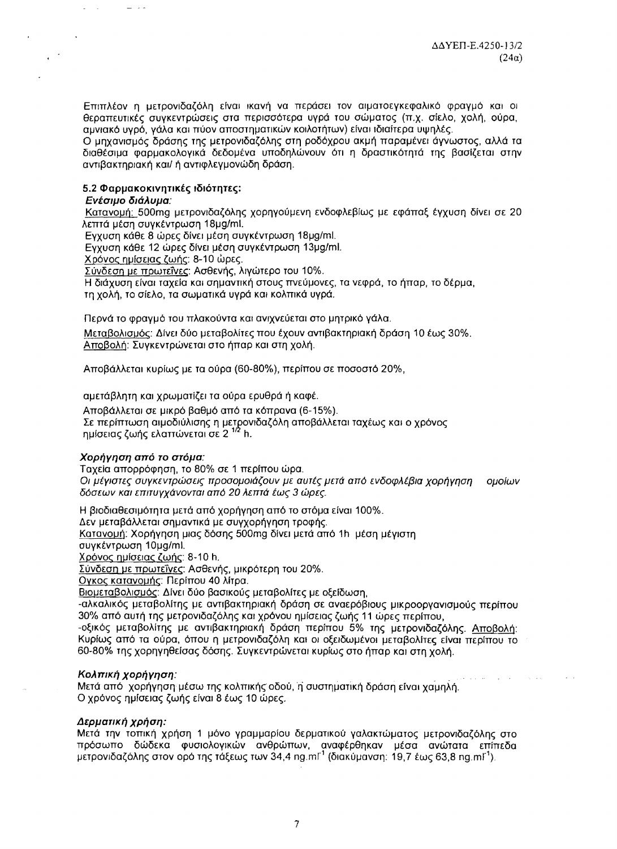Επιπλέον η μετρονιδαζόλη είναι ικανή να περάσει τον αιματοεγκεφαλικό φραγμό και οι θεραπευτικές συγκεντρώσεις στα περισσότερα υγρά του σώματος (π.χ. σίελο, χολή, ούρα, αμνιακό υγρό, γάλα και πύον αποστηματικών κοιλοτήτων) είναι ιδιαίτερα υψηλές.

Ο μηχανισμός δράσης της μετρονιδαζόλης στη ροδόχρου ακμή παραμένει άγνωστος, αλλά τα διαθέσιμα φαρμακολογικά δεδομένα υποδηλώνουν ότι η δραστικότητά της βασίζεται στην αντιβακτηριακή και/ ή αντιφλεγμονώδη δράση.

# 5.2 Φαρμακοκινητικές ιδιότητες:

### Ενέσιμο διάλυμα:

 $\sim 10$ 

 $\sim$   $\sim$ 

 $\mathbf{r}$ 

 $\sim$   $\sim$   $\sim$ 

Κατανομή: 500mg μετρονιδαζόλης χορηγούμενη ενδοφλεβίως με εφάπαξ έγχυση δίνει σε 20 λεπτά μέση συγκέντρωση 18μg/ml.

Εγχυση κάθε 8 ώρες δίνει μέση συγκέντρωση 18μg/ml.

Εγχυση κάθε 12 ώρες δίνει μέση συγκέντρωση 13μg/ml.

Χρόνος ημίσειας ζωής: 8-10 ώρες.

Σύνδεση με πρωτεΐνες: Ασθενής, λιγώτερο του 10%.

Η διάχυση είναι ταχεία και σημαντική στους πνεύμονες, τα νεφρά, το ήπαρ, το δέρμα,

τη χολή, το σίελο, τα σωματικά υγρά και κολπικά υγρά.

Περνά το φραγμό του πλακούντα και ανιχνεύεται στο μητρικό γάλα.

Μεταβολισμός: Δίνει δύο μεταβολίτες που έχουν αντιβακτηριακή δράση 10 έως 30%, Αποβολή: Συγκεντρώνεται στο ήπαρ και στη χολή.

Αποβάλλεται κυρίως με τα ούρα (60-80%), περίπου σε ποσοστό 20%.

αμετάβλητη και χρωματίζει τα ούρα ερυθρά ή καφέ.

Αποβάλλεται σε μικρό βαθμό από τα κόπρανα (6-15%). Σε περίπτωση αιμοδιύλισης η μετρονιδαζόλη αποβάλλεται ταχέως και ο χρόνος ημίσειας ζωής ελαττώνεται σε 2<sup>1/2</sup> h.

# Χορήγηση από το στόμα:

Ταχεία απορρόφηση, το 80% σε 1 περίπου ώρα. Οι μέγιστες συγκεντρώσεις προσομοιάζουν με αυτές μετά από ενδοφλέβια χορήγηση ομοίων δόσεων και επιτυγχάνονται από 20 λεπτά έως 3 ώρες.

Η βιοδιαθεσιμότητα μετά από χορήγηση από το στόμα είναι 100%. Δεν μεταβάλλεται σημαντικά με συγχορήγηση τροφής. Κατανομή: Χορήγηση μιας δόσης 500mg δίνει μετά από 1h μέση μέγιστη συγκέντρωση 10μg/ml. Χρόνος ημίσειας ζωής: 8-10 h.

Σύνδεση με πρωτεΐνες: Ασθενής, μικρότερη του 20%.

Ογκος κατανομής: Περίπου 40 λίτρα.

Βιομεταβολισμός: Δίνει δύο βασικούς μεταβολίτες με οξείδωση.

-αλκαλικός μεταβολίτης με αντιβακτηριακή δράση σε αναερόβιους μικροοργανισμούς περίπου 30% από αυτή της μετρονιδαζόλης και χρόνου ημίσειας ζωής 11 ώρες περίπου,

-οξικός μεταβολίτης με αντιβακτηριακή δράση περίπου 5% της μετρονιδαζόλης. Αποβολή: Κυρίως από τα ούρα, όπου η μετρονιδαζόλη και οι οξειδωμένοι μεταβολίτες είναι περίπου το 60-80% της χορηγηθείσας δόσης. Συγκεντρώνεται κυρίως στο ήπαρ και στη χολή.

# Κολπική χορήγηση:

Μετά από χορήγηση μέσω της κολπικής οδού, η συστηματική δράση είναι χαμηλή. Ο χρόνος ημίσειας ζωής είναι 8 έως 10 ώρες.

### Δερματική χρήση:

Μετά την τοπική χρήση 1 μόνο γραμμαρίου δερματικού γαλακτώματος μετρονιδαζόλης στο πρόσωπο δώδεκα φυσιολογικών ανθρώπων, αναφέρθηκαν μέσα ανώτατα επίπεδα μετρονιδαζόλης στον ορό της τάξεως των 34,4 ng m<sup>r1</sup> (διακύμανση: 19,7 έως 63,8 ng m<sup>r1</sup>).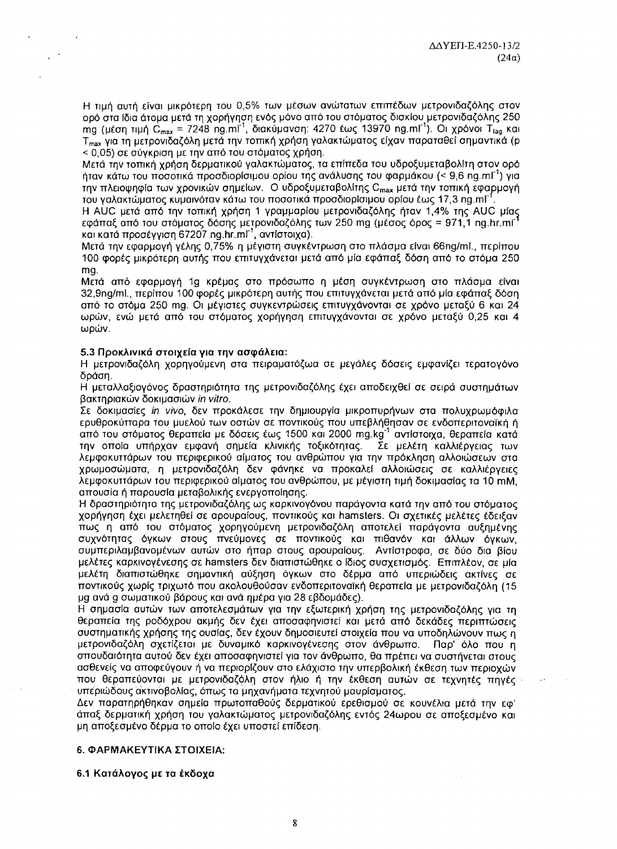Η τιμή αυτή είναι μικρότερη του 0,5% των μέσων ανώτατων επιπέδων μετρονιδαζόλης στον ορό στα ίδια άτομα μετά τη χορήγηση ενός μόνο από του στόματος δισκίου μετρονιδαζόλης 250 mg (μέση τιμή C<sub>max</sub> = 7248 ng.ml<sup>-1</sup>, διακύμανση: 4270 έως 13970 ng.ml<sup>-1</sup>). Οι χρόνοι Τ<sub>ιag</sub> και T<sub>max</sub> για τη μετρονιδαζόλη μετά την τοπική χρήση γαλακτώματος είχαν παραταθεί σημαντικά (p < 0,05) σε σύγκριση με την από του στόματος χρήση.

Μετά την τοπική χρήση δερματικού γαλακτώματος, τα επίπεδα του υδροξυμεταβολίτη στον ορό ήταν κάτω του ποσοτικά προσδιορίσιμου ορίου της ανάλυσης του φαρμάκου (< 9,6 ng.ml<sup>-1</sup>) για την πλειοψηφία των χρονικών σημείων. Ο υδροξυμεταβολίτης C<sub>max</sub> μετά την τοπική εφαρμογή του γαλακτώματος κυμαινόταν κάτω του ποσοτικά προσδιορίσιμου ορίου έως 17,3 ng.ml<sup>-1</sup>

Η AUC μετά από την τοπική χρήση 1 γραμμαρίου μετρονιδαζόλης ήταν 1,4% της AUC μίας εφάπαξ από του στόματος δόσης μετρονιδαζόλης των 250 mg (μέσος όρος = 971,1 ng.hr.mi<sup>-</sup> και κατά προσέγγιση 67207 ng.hr.ml<sup>-1</sup>, αντίστοιχα).

Μετά την εφαρμογή γέλης 0,75% η μέγιστη συγκέντρωση στο πλάσμα είναι 66ng/ml., περίπου 100 φορές μικρότερη αυτής που επιτυγχάνεται μετά από μία εφάπαξ δόση από το στόμα 250 mg.

Μετά από εφαρμογή 1g κρέμας στο πρόσωπο η μέση συγκέντρωση στο πλάσμα είναι 32,9ng/ml., περίπου 100 φορές μικρότερη αυτής που επιτυγχάνεται μετά από μία εφάπαξ δόση από το στόμα 250 mg. Οι μέγιστες συγκεντρώσεις επιτυγχάνονται σε χρόνο μεταξύ 6 και 24 ωρών, ενώ μετά από του στόματος χορήγηση επιτυγχάνονται σε χρόνο μεταξύ 0,25 και 4 ωρών.

# 5.3 Προκλινικά στοιχεία για την ασφάλεια:

Η μετρονιδαζόλη χορηγούμενη στα πειραματόζωα σε μεγάλες δόσεις εμφανίζει τερατογόνο δράση.

Η μεταλλαξιογόνος δραστηριότητα της μετρονιδαζόλης έχει αποδειχθεί σε σειρά συστημάτων βακτηριακών δοκιμασιών *in vitro.* 

Σε δοκιμασίες in νίνο, δεν προκάλεσε την δημιουργία μικροπυρήνων στα πολυχρωμόφιλα ερυθροκύτταρα του μυελού των οστών σε ποντικούς που υπεβλήθησαν σε ενδοπεριτοναϊκή ή από του στόματος θεραπεία με δόσεις έως 1500 και 2000 mg.kg<sup>-1</sup> αντίστοιχα, θεραπεία κατά την οποία υπήρχαν εμφανή σημεία κλινικής τοξικότητας. Σε μελέτη καλλιέργειας των λεμφοκυττάρων του περιφερικού αίματος του ανθρώπου για την πρόκληση αλλοιώσεων στα χρωμοσώματα, η μετρονιδαζόλη δεν φάνηκε να προκαλεί αλλοιώσεις σε καλλιέργειες λεμφοκυττάρων του περιφερικού αίματος του ανθρώπου, με μέγιστη τιμή δοκιμασίας τα 10 mM, απουσία ή παρουσία μεταβολικής ενεργοποίησης.

Η δραστηριότητα της μετρονιδαζόλης ως καρκινογόνου παράγοντα κατά την από του στόματος χορήγηση έχει μελετηθεί σε αρουραίους, ποντικούς και hamsters. Οι σχετικές μελέτες έδειξαν πως η από του στόματος χορηγούμενη μετρονιδαζόλη αποτελεί παράγοντα αυξημένης συχνότητας όγκων στους πνεύμονες σε ποντικούς και πιθανόν και άλλων όγκων, συμπεριλαμβανομένων αυτών στο ήπαρ στους αρουραίους. Αντίστροφα, σε δύο δια βίου μελέτες καρκινογένεσης σε hamsters δεν διαπιστώθηκε ο ίδιος συσχετισμός. Επιπλέον, σε μία μελέτη διαπιστώθηκε σημαντική αύξηση όγκων στο δέρμα από υπεριώδεις ακτίνες σε ποντικούς χωρίς τριχωτό που ακολουθούσαν ενδοπεριτοναϊκή θεραπεία με μετρονιδαζόλη (15 μg ανά g σωματικού βάρους και ανά ημέρα για 28 εβδομάδες).

Η σημασία αυτών των αποτελεσμάτων για την εξωτερική χρήση της μετρονιδαζόλης για τη θεραπεία της ροδόχρου ακμής δεν έχει αποσαφηνιστεί και μετά από δεκάδες περιπτώσεις συστηματικής χρήσης της ουσίας, δεν έχουν δημοσιευτεί στοιχεία που να υποδηλώνουν πως η μετρονιδαζόλη σχετίζεται με δυναμικό καρκινογένεσης στον άνθρωπο. Παρ' όλο που η σπουδαιότητα αυτού δεν έχει αποσαφηνιστεί για τον άνθρωπο, θα πρέπει να συστήνεται στους ασθενείς να αποφεύγουν ή να περιορίζουν στο ελάχιστο την υπερβολική έκθεση των περιοχών που θεραπεύονται με μετρονιδαζόλη στον ήλιο ή την έκθεση αυτών σε τεχνητές πηγές υπεριώδους ακτινοβολίας, όπως τα μηχανήματα τεχνητού μαυρίσματος.

Δεν παρατηρήθηκαν σημεία πρωτοπαθούς δερματικού ερεθισμού σε κουνέλια μετά την εφ' άπαξ δερματική χρήση του γαλακτώματος μετρονιδαζόλης εντός 24ωρου σε αποξεσμένο και μη αποξεσμένο δέρμα το οποίο έχει υποστεί επίδεση.

### 6. ΦΑΡΜΑΚΕΥΤΙΚΑ ΣΤΟΙΧΕΙΑ:

#### 6.1 Κατάλογος με τα έκδοχα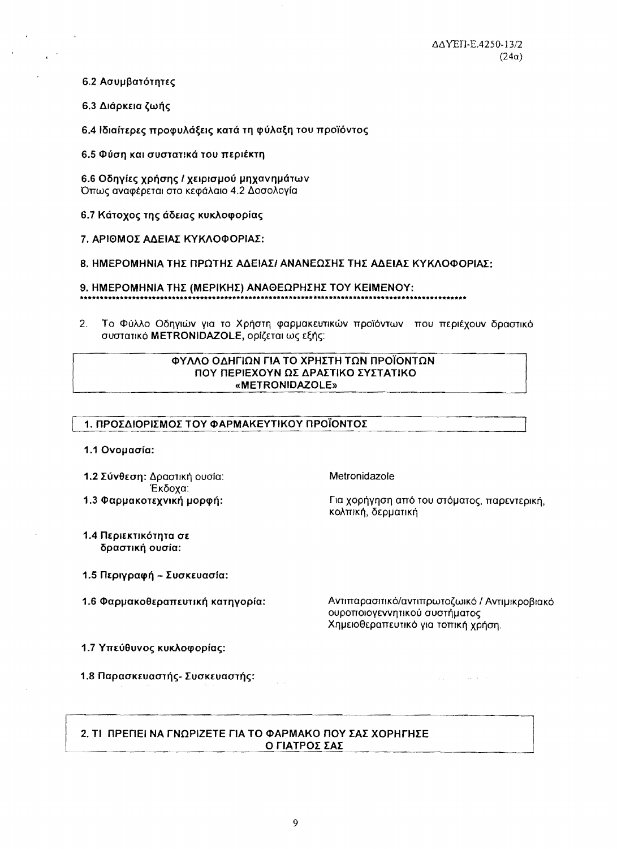6.2 Ασυμβατότητες

6.3 Διάρκεια ζωής

6.4 Ιδιαίτερες προφυλάξεις κατά τη φύλαξη του προϊόντος

6.5 Φύση και συστατικά του περιέκτη

6.6 Οδηγίες χρήσης / χειρισμού μηχανημάτων Όπως αναφέρεται στο κεφάλαιο 4.2 Δοσολογία

6.7 Κάτοχος της άδειας κυκλοφορίας

7. ΑΡΙΘΜΟΣ ΑΔΕΙΑΣ ΚΥΚΛΟΦΟΡΙΑΣ:

8. ΗΜΕΡΟΜΗΝΙΑ ΤΗΣ ΠΡΩΤΗΣ ΑΔΕΙΑΣ/ ΑΝΑΝΕΩΣΗΣ ΤΗΣ ΑΔΕΙΑΣ ΚΥΚΛΟΦΟΡΙΑΣ:

9. ΗΜΕΡΟΜΗΝΙΑ ΤΗΣ (ΜΕΡΙΚΗΣ) ΑΝΑΘΕΩΡΗΣΗΣ ΤΟΥ ΚΕΙΜΕΝΟΥ:

2. Το Φύλλο Οδηγιών για το Χρήστη φαρμακευτικών προϊόντων που περιέχουν δραστικό συστατικό METRONIDAZOLE, ορίζεται ως εξής:

### ΦΥΛΛΟ ΟΛΗΓΙΩΝ ΓΙΑ ΤΟ ΧΡΗΣΤΗ ΤΩΝ ΠΡΟΪΟΝΤΩΝ ΠΟΥ ΠΕΡΙΕΧΟΥΝ ΩΣ ΔΡΑΣΤΙΚΟ ΣΥΣΤΑΤΙΚΟ «METRONIDAZOLE»

| 1. ΠΡΟΣΔΙΟΡΙΣΜΟΣ ΤΟΥ ΦΑΡΜΑΚΕΥΤΙΚΟΥ ΠΡΟΪΟΝΤΟΣ |  |  |  |
|----------------------------------------------|--|--|--|
|                                              |  |  |  |

Metronidazole

κολπική, δερματική

1.1 Ovouaoía:

1.2 Σύνθεση: Δραστική ουσία: Έκδοχα: 1.3 Φαρμακοτεχνική μορφή:

- 1.4 Περιεκτικότητα σε δραστική ουσία:
- 1.5 Περιγραφή Συσκευασία:
- 1.6 Φαρμακοθεραπευτική κατηγορία:

Αντιπαρασιτικό/αντιπρωτοζωικό / Αντιμικροβιακό ουροποιογεννητικού συστήματος Χημειοθεραπευτικό για τοπική χρήση.

المحافظ المتحدث

Για χορήγηση από του στόματος, παρεντερική,

- 1.7 Υπεύθυνος κυκλοφορίας:
- 1.8 Παρασκευαστής- Συσκευαστής:

# 2. ΤΙ ΠΡΕΠΕΙ ΝΑ ΓΝΩΡΙΖΕΤΕ ΓΙΑ ΤΟ ΦΑΡΜΑΚΟ ΠΟΥ ΣΑΣ ΧΟΡΗΓΗΣΕ Ο ΓΙΑΤΡΟΣ ΣΑΣ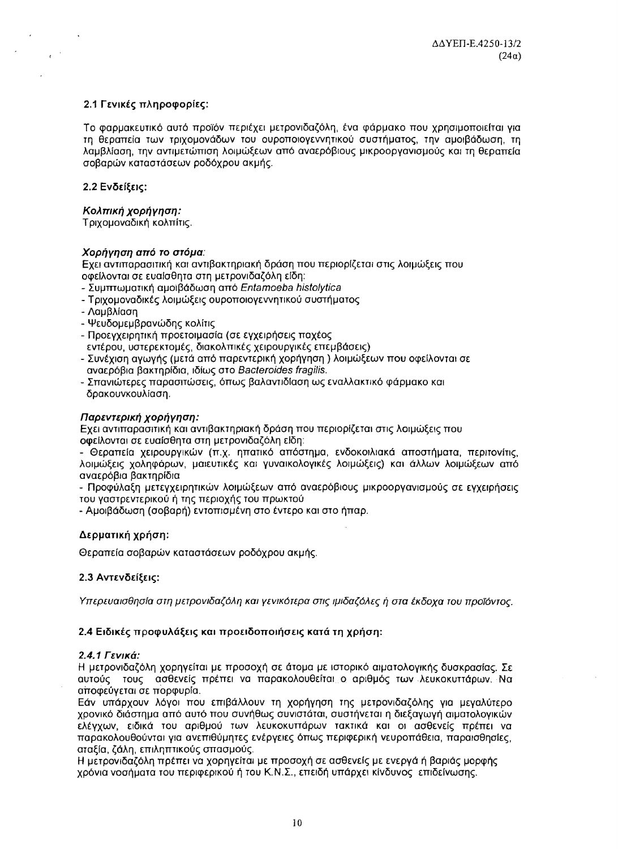# 2.1 Γενικές πληροφορίες:

Το φαρμακευτικό αυτό προϊόν περιέχει μετρονιδαζόλη, ένα φάρμακο που χρησιμοποιείται για τη θεραπεία των τριχομονάδων του ουροποιογεννητικού συστήματος, την αμοιβάδωση, τη λαμβλίαση, την αντιμετώπιση λοιμώξεων από αναερόβιους μικροοργανισμούς και τη θεραπεία σοβαρών καταστάσεων ροδόχρου ακμής.

# 2.2 Ενδείξεις:

 $e^{-\beta}$ 

# Κολπική χορήγηση:

Τριχομοναδική κολπίτις.

# Χορήγηση από το στόμα:

Εχει αντιπαρασιτική και αντιβακτηριακή δράση που περιορίζεται στις λοιμώξεις που οφείλονται σε ευαίσθητα στη μετρονιδαζόλη είδη:

- Συμπτωματική αμοϊβάδωση από Entamoeba histolytica
- Τριχομοναδικές λοιμώξεις ουροποιογεννητικού συστήματος
- Λαμβλίαση
- Ψευδομεμβρανώδης κολίτις
- Προεγχειρητική προετοιμασία (σε εγχειρήσεις παχέος εντέρου, υστερεκτομές, διακολπικές χειρουργικές επεμβάσεις)
- Συνέχιση αγωγής (μετά από παρεντερική χορήγηση) λοιμώξεων που οφείλονται σε αναερόβια βακτηρίδια, ιδίως στο Bacteroides fragilis.
- Σπανιώτερες παρασιτώσεις, όπως βαλαντιδίαση ως εναλλακτικό φάρμακο και δρακουνκουλίαση.

# Παρεντερική χορήγηση:

Εχει αντιπαρασιτική και αντιβακτηριακή δράση που περιορίζεται στις λοιμώξεις που οφείλονται σε ευαίσθητα στη μετρονιδαζόλη είδη:

- Θεραπεία χειρουργικών (π.χ. ηπατικό απόστημα, ενδοκοιλιακά αποστήματα, περιτονίτις, λοιμώξεις χοληφόρων, μαιευτικές και γυναικολογικές λοιμώξεις) και άλλων λοιμώξεων από αναερόβια βακτηρίδια

- Προφύλαξη μετεγχειρητικών λοιμώξεων από αναερόβιους μικροοργανισμούς σε εγχειρήσεις του γαστρεντερικού ή της περιοχής του πρωκτού

- Αμοιβάδωση (σοβαρή) εντοπισμένη στο έντερο και στο ήπαρ.

# Δερματική χρήση:

Θεραπεία σοβαρών καταστάσεων ροδόχρου ακμής.

# 2.3 Αντενδείξεις:

Υπερευαισθησία στη μετρονιδαζόλη και γενικότερα στις ιμιδαζόλες ή στα έκδοχα του προϊόντος.

# 2.4 Ειδικές προφυλάξεις και προειδοποιήσεις κατά τη χρήση:

### 2.4.1 Γενικά:

Η μετρονιδαζόλη χορηγείται με προσοχή σε άτομα με ιστορικό αιματολογικής δυσκρασίας. Σε αυτούς τους ασθενείς πρέπει να παρακολουθείται ο αριθμός των λευκοκυττάρων. Να αποφεύγεται σε πορφυρία.

Εάν υπάρχουν λόγοι που επιβάλλουν τη χορήγηση της μετρονιδαζόλης για μεγαλύτερο χρονικό διάστημα από αυτό που συνήθως συνιστάται, συστήνεται η διεξαγωγή αιματολογικών ελέγχων, ειδικά του αριθμού των λευκοκυττάρων τακτικά και οι ασθενείς πρέπει να παρακολουθούνται για ανεπιθύμητες ενέργειες όπως περιφερική νευροπάθεια, παραισθησίες, αταξία, ζάλη, επιληπτικούς σπασμούς.

Η μετρονιδαζόλη πρέπει να χορηγείται με προσοχή σε ασθενείς με ενεργά ή βαριάς μορφής χρόνια νοσήματα του περιφερικού ή του Κ.Ν.Σ., επειδή υπάρχει κίνδυνος επιδείνωσης.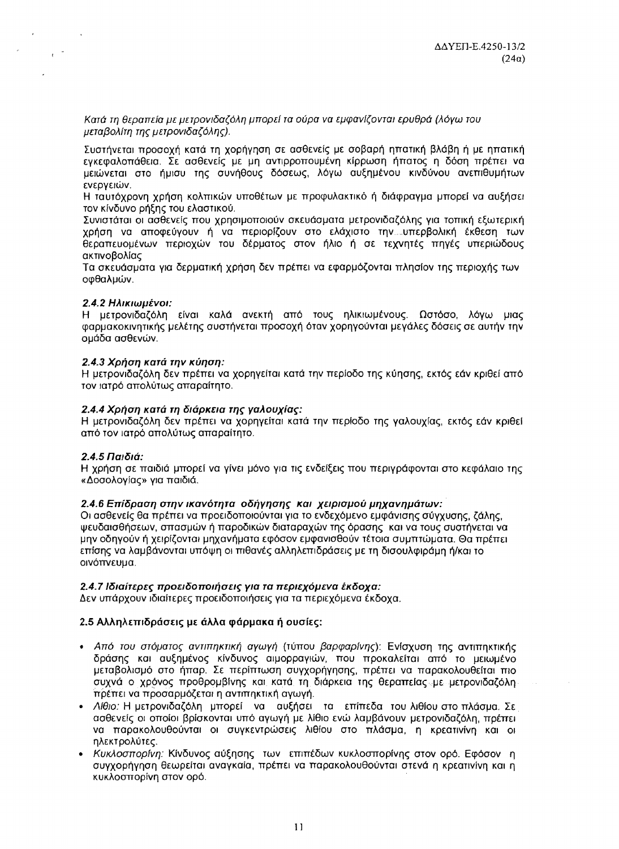Κατά τη θεραπεία με μετρονιδαζόλη μπορεί τα ούρα να εμφανίζονται ερυθρά (λόγω του μεταβολίτη της μετρονιδαζόλης).

Συστήνεται προσοχή κατά τη χορήγηση σε ασθενείς με σοβαρή ηπατική βλάβη ή με ηπατική εγκεφαλοπάθεια. Σε ασθενείς με μη αντιρροπουμένη κίρρωση ήπατος η δόση πρέπει να μειώνεται στο ήμισυ της συνήθους δόσεως, λόγω αυξημένου κινδύνου ανεπιθυμήτων ενεργειών.

Η ταυτόχρονη χρήση κολπικών υποθέτων με προφυλακτικό ή διάφραγμα μπορεί να αυξήσει τον κίνδυνο ρήξης του ελαστικού.

Συνιστάται οι ασθενείς που χρησιμοποιούν σκευάσματα μετρονιδαζόλης για τοπική εξωτερική χρήση να αποφεύγουν ή να περιορίζουν στο ελάχιστο την...υπερβολική έκθεση των θεραπευομένων περιοχών του δέρματος στον ήλιο ή σε τεχνητές πηγές υπεριώδους ακτινοβολίας

Τα σκευάσματα για δερματική χρήση δεν πρέπει να εφαρμόζονται πλησίον της περιοχής των οφθαλμών.

### 2.4.2 Ηλικιωμένοι:

 $e^{-\frac{1}{2}}$ 

Η μετρονιδαζόλη είναι καλά ανεκτή από τους ηλικιωμένους. Ωστόσο, λόγω μιας φαρμακοκινητικής μελέτης συστήνεται προσοχή όταν χορηγούνται μεγάλες δόσεις σε αυτήν την ομάδα ασθενών.

# 2.4.3 Χρήση κατά την κύηση:

Η μετρονιδαζόλη δεν πρέπει να χορηγείται κατά την περίοδο της κύησης, εκτός εάν κριθεί από τον ιατρό απολύτως απαραίτητο.

# 2.4.4 Χρήση κατά τη διάρκεια της γαλουχίας:

Η μετρονιδαζόλη δεν πρέπει να χορηγείται κατά την περίοδο της γαλουχίας, εκτός εάν κριθεί από τον ιατρό απολύτως απαραίτητο.

### 2.4.5 Παιδιά:

Η χρήση σε παιδιά μπορεί να γίνει μόνο για τις ενδείξεις που περιγράφονται στο κεφάλαιο της «Δοσολογίας» για παιδιά.

# 2.4.6 Επίδραση στην ικανότητα οδήγησης και χειρισμού μηχανημάτων:

Οι ασθενείς θα πρέπει να προειδοποιούνται για το ενδεχόμενο εμφάνισης σύγχυσης, ζάλης, ψευδαισθήσεων, σπασμών ή παροδικών διαταραχών της όρασης και να τους συστήνεται να μην οδηγούν ή χειρίζονται μηχανήματα εφόσον εμφανισθούν τέτοια συμπτώματα. Θα πρέπει επίσης να λαμβάνονται υπόψη οι πιθανές αλληλεπιδράσεις με τη δισουλφιράμη ή/και το οινόπνευμα.

### 2.4.7 Ιδιαίτερες προειδοποιήσεις για τα περιεχόμενα έκδοχα:

Δεν υπάρχουν ιδιαίτερες προειδοποιήσεις για τα περιεχόμενα έκδοχα.

# 2.5 Αλληλεπιδράσεις με άλλα φάρμακα ή ουσίες:

- Από του στόματος αντιπηκτική αγωγή (τύπου βαρφαρίνης): Ενίσχυση της αντιπηκτικής δράσης και αυξημένος κίνδυνος αιμορραγιών, που προκαλείται από το μειωμένο μεταβολισμό στο ήπαρ. Σε περίπτωση συγχορήγησης, πρέπει να παρακολουθείται πιο συχνά ο χρόνος προθρομβίνης και κατά τη διάρκεια της θεραπείας με μετρονιδαζόλη. πρέπει να προσαρμόζεται η αντιπηκτική αγωγή.
- · Λίθιο: Η μετρονιδαζόλη μπορεί να αυξήσει τα επίπεδα του λιθίου στο πλάσμα. Σε ασθενείς οι οποίοι βρίσκονται υπό αγωγή με λίθιο ενώ λαμβάνουν μετρονιδαζόλη, πρέπει να παρακολουθούνται οι συγκεντρώσεις λιθίου στο πλάσμα, η κρεατινίνη και οι ηλεκτρολύτες.
- Κυκλοσπορίνη: Κίνδυνος αύξησης των επιπέδων κυκλοσπορίνης στον ορό. Εφόσον η συγχορήγηση θεωρείται αναγκαία, πρέπει να παρακολουθούνται στενά η κρεατινίνη και η κυκλοσπορίνη στον ορό.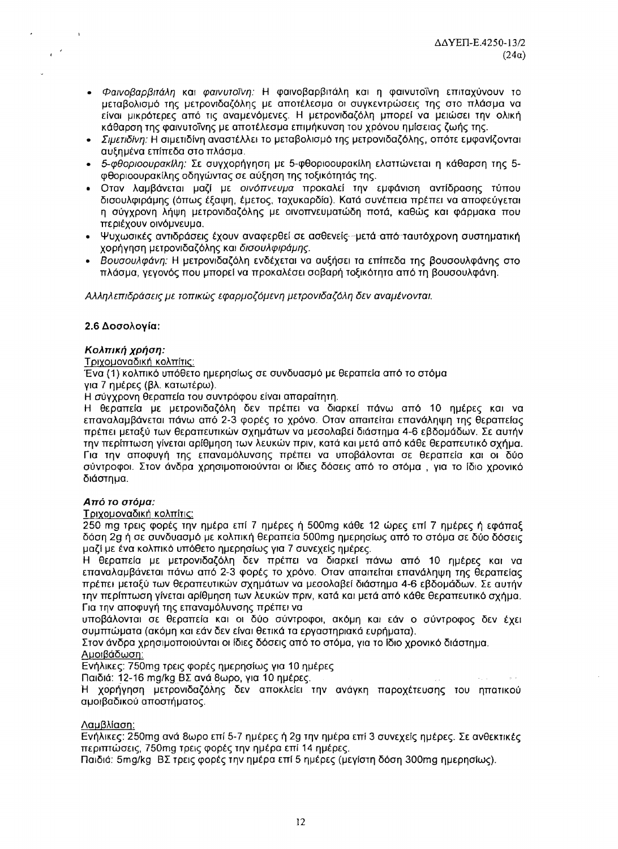- · Φαινοβαρβιτάλη και φαινυτοΐνη: Η φαινοβαρβιτάλη και η φαινυτοΐνη επιταχύνουν το μεταβολισμό της μετρονιδαζόλης με αποτέλεσμα οι συγκεντρώσεις της στο πλάσμα να είναι μικρότερες από τις αναμενόμενες. Η μετρονιδαζόλη μπορεί να μειώσει την ολική κάθαρση της φαινυτοΐνης με αποτέλεσμα επιμήκυνση του χρόνου ημίσειας ζωής της.
- · Σιμετιδίνη: Η σιμετιδίνη αναστέλλει το μεταβολισμό της μετρονιδαζόλης, οπότε εμφανίζονται αυξημένα επίπεδα στο πλάσμα.
- 5-Φθοριοουρακίλη: Σε συγχορήγηση με 5-φθοριοουρακίλη ελαττώνεται η κάθαρση της 5φθοριοουρακίλης οδηγώντας σε αύξηση της τοξικότητάς της.
- Οταν λαμβάνεται μαζί με οινόπνευμα προκαλεί την εμφάνιση αντίδρασης τύπου δισουλφιράμης (όπως έξαψη, έμετος, ταχυκαρδία). Κατά συνέπεια πρέπει να αποφεύγεται η σύγχρονη λήψη μετρονιδαζόλης με οινοπνευματώδη ποτά, καθώς και φάρμακα που περιέχουν οινόμνευμα.
- Ψυχωσικές αντιδράσεις έχουν αναφερθεί σε ασθενείς -μετά από ταυτόχρονη συστηματική χορήγηση μετρονιδαζόλης και δισουλφιράμης.
- Βουσουλφάνη: Η μετρονιδαζόλη ενδέχεται να αυξήσει τα επίπεδα της βουσουλφάνης στο πλάσμα, γεγονός που μπορεί να προκαλέσει σοβαρή τοξικότητα από τη βουσουλφάνη.

Αλληλεπιδράσεις με τοπικώς εφαρμοζόμενη μετρονιδαζόλη δεν αναμένονται.

# 2.6 Δοσολονία:

# Κολπική χρήση:

Τριχομοναδική κολπίτις:

Ένα (1) κολπικό υπόθετο ημερησίως σε συνδυασμό με θεραπεία από το στόμα

για 7 ημέρες (βλ. κατωτέρω).

Η σύνχρονη θεραπεία του συντρόφου είναι απαραίτητη.

Η θεραπεία με μετρονιδαζόλη δεν πρέπει να διαρκεί πάνω από 10 ημέρες και να επαναλαμβάνεται πάνω από 2-3 φορές το χρόνο. Οταν απαιτείται επανάληψη της θεραπείας πρέπει μεταξύ των θεραπευτικών σχημάτων να μεσολαβεί διάστημα 4-6 εβδομάδων. Σε αυτήν την περίπτωση γίνεται αρίθμηση των λευκών πριν, κατά και μετά από κάθε θεραπευτικό σχήμα. Για την αποφυγή της επαναμόλυνσης πρέπει να υποβάλονται σε θεραπεία και οι δύο σύντροφοι. Στον άνδρα χρησιμοποιούνται οι ίδιες δόσεις από το στόμα, για το ίδιο χρονικό διάστημα.

# Από το στόμα:

Τριχομοναδική κολπίτις:

250 mg τρεις φορές την ημέρα επί 7 ημέρες ή 500mg κάθε 12 ώρες επί 7 ημέρες ή εφάπαξ δόση 2g ή σε συνδυασμό με κολπική θεραπεία 500mg ημερησίως από το στόμα σε δύο δόσεις μαζί με ένα κολπικό υπόθετο ημερησίως για 7 συνεχείς ημέρες.

Η θεραπεία με μετρονιδαζόλη δεν πρέπει να διαρκεί πάνω από 10 ημέρες και να επαναλαμβάνεται πάνω από 2-3 φορές το χρόνο. Οταν απαιτείται επανάληψη της θεραπείας πρέπει μεταξύ των θεραπευτικών σχημάτων να μεσολαβεί διάστημα 4-6 εβδομάδων. Σε αυτήν την περίπτωση γίνεται αρίθμηση των λευκών πριν, κατά και μετά από κάθε θεραπευτικό σχήμα. Για την αποφυγή της επαναμόλυνσης πρέπει να

υποβάλονται σε θεραπεία και οι δύο σύντροφοι, ακόμη και εάν ο σύντροφος δεν έχει συμπτώματα (ακόμη και εάν δεν είναι θετικά τα εργαστηριακά ευρήματα).

Στον άνδρα χρησιμοποιούνται οι ίδιες δόσεις από το στόμα, για το ίδιο χρονικό διάστημα.

# Αμοιβάδωση:

Ενήλικες: 750mg τρεις φορές ημερησίως για 10 ημέρες

Παιδιά: 12-16 mg/kg BΣ ανά 8ωρο, για 10 ημέρες.

Η χορήγηση μετρονιδαζόλης δεν αποκλείει την ανάγκη παροχέτευσης του ηπατικού αμοιβαδικού αποστήματος.

# Λαμβλίαση:

Ενήλικες: 250mg ανά 8ωρο επί 5-7 ημέρες ή 2g την ημέρα επί 3 συνεχείς ημέρες. Σε ανθεκτικές περιπτώσεις, 750mg τρεις φορές την ημέρα επί 14 ημέρες.

Παιδιά: 5mg/kg BΣ τρεις φορές την ημέρα επί 5 ημέρες (μεγίστη δόση 300mg ημερησίως).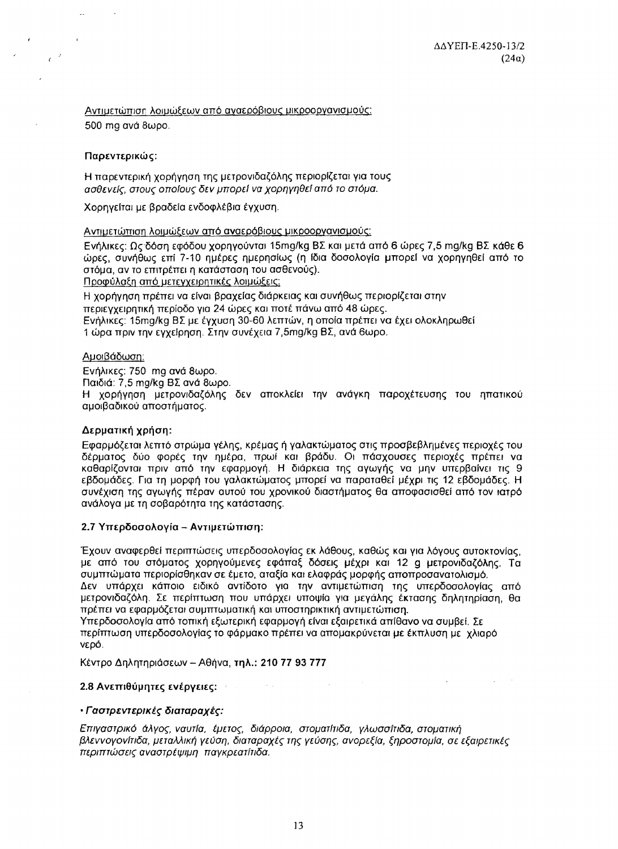**Contract Contract Contract** 

Αντιμετώπιση λοιμώξεων από αναερόβιους μικροοργανισμούς: 500 mg ανά 8ωρο.

### Παρεντερικώς:

**Contract Contract** 

 $\epsilon^{-\beta}$ 

 $\overline{a}$ 

Η παρεντερική χορήγηση της μετρονιδαζόλης περιορίζεται για τους ασθενείς, στους οποίους δεν μπορεί να χορηγηθεί από το στόμα.

Χορηγείται με βραδεία ενδοφλέβια έγχυση.

Αντιμετώπιση λοιμώξεων από αναερόβιους μικροοργανισμούς:

Ενήλικες: Ως δόση εφόδου χορηγούνται 15mg/kg BΣ και μετά από 6 ώρες 7,5 mg/kg BΣ κάθε 6 ώρες, συνήθως επί 7-10 ημέρες ημερησίως (η ίδια δοσολογία μπορεί να χορηγηθεί από το στόμα, αν το επιτρέπει η κατάσταση του ασθενούς).

Προφύλαξη από μετεγχειρητικές λοιμώξεις:

Η χορήγηση πρέπει να είναι βραχείας διάρκειας και συνήθως περιορίζεται στην περιεγχειρητική περίοδο για 24 ώρες και ποτέ πάνω από 48 ώρες. Ενήλικες: 15mg/kg BΣ με έγχυση 30-60 λεπτών, η οποία πρέπει να έχει ολοκληρωθεί 1 ώρα πριν την εγχείρηση. Στην συνέχεια 7,5mg/kg ΒΣ, ανά 6ωρο.

# Αυοιβάδωση:

Ενήλικες: 750 mg ανά 8ωρο.

Παιδιά: 7,5 mg/kg BΣ ανά 8ωρο.

Η χορήγηση μετρονιδαζόλης δεν αποκλείει την ανάγκη παροχέτευσης του ηπατικού αμοιβαδικού αποστήματος.

# Δερματική χρήση:

Εφαρμόζεται λεπτό στρώμα γέλης, κρέμας ή γαλακτώματος στις προσβεβλημένες περιοχές του δέρματος δύο φορές την ημέρα, πρωί και βράδυ. Οι πάσχουσες περιοχές πρέπει να καθαρίζονται πριν από την εφαρμογή. Η διάρκεια της αγωγής να μην υπερβαίνει τις 9 εβδομάδες. Για τη μορφή του γαλακτώματος μπορεί να παραταθεί μέχρι τις 12 εβδομάδες. Η συνέχιση της αγωγής πέραν αυτού του χρονικού διαστήματος θα αποφασισθεί από τον ιατρό ανάλογα με τη σοβαρότητα της κατάστασης.

### 2.7 Υπερδοσολογία - Αντιμετώπιση:

Έχουν αναφερθεί περιπτώσεις υπερδοσολογίας εκ λάθους, καθώς και για λόγους αυτοκτονίας, με από του στόματος χορηγούμενες εφάπαξ δόσεις μέχρι και 12 g μετρονιδαζόλης. Τα συμπτώματα περιορίσθηκαν σε έμετο, αταξία και ελαφράς μορφής αποπροσανατολισμό.

Δεν υπάρχει κάποιο ειδικό αντίδοτο για την αντιμετώπιση της υπερδοσολογίας από μετρονιδαζόλη. Σε περίπτωση που υπάρχει υποψία για μεγάλης έκτασης δηλητηρίαση, θα πρέπει να εφαρμόζεται συμπτωματική και υποστηρικτική αντιμετώπιση.

Υπερδοσολογία από τοπική εξωτερική εφαρμογή είναι εξαιρετικά απίθανο να συμβεί. Σε περίπτωση υπερδοσολογίας το φάρμακο πρέπει να απομακρύνεται με έκπλυση με χλιαρό νερό.

Κέντρο Δηλητηριάσεων - Αθήνα, τηλ.; 210 77 93 777

# 2.8 Ανεπιθύμητες ενέργειες: Ελλάδα του Αντικό του Αντικό του Αντικό του Στ

### • Γαστρεντερικές διαταραχές:

Επιγαστρικό άλγος, ναυτία, έμετος, διάρροια, στοματίτιδα, γλωσσίτιδα, στοματική βλεννογονίτιδα, μεταλλική γεύση, διαταραχές της γεύσης, ανορεξία, ξηροστομία, σε εξαιρετικές περιπτώσεις αναστρέψιμη παγκρεατίτιδα.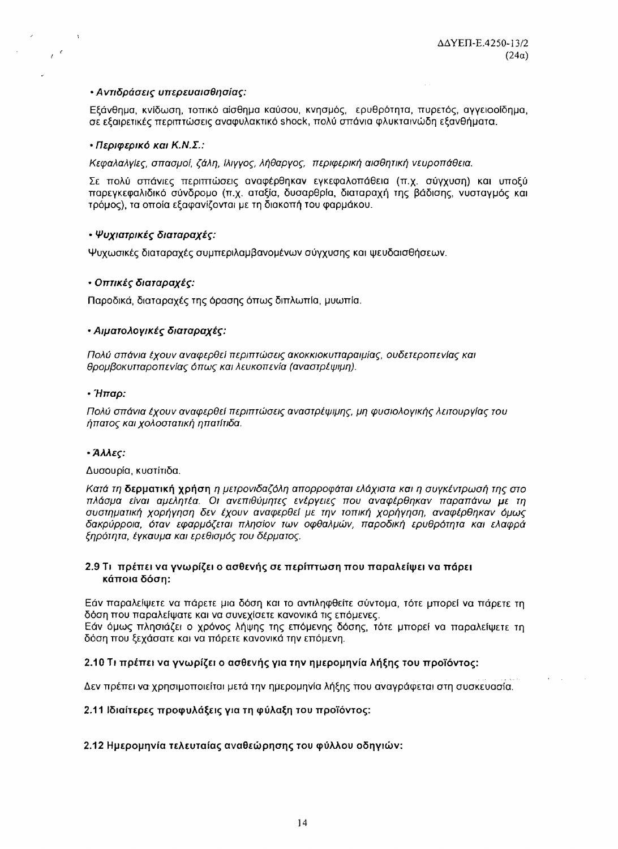# • Αντιδράσεις υπερευαισθησίας:

Εξάνθημα, κνίδωση, τοπικό αίσθημα καύσου, κνησμός, ερυθρότητα, πυρετός, αγγειοοίδημα, σε εξαιρετικές περιπτώσεις αναφυλακτικό shock, πολύ σπάνια φλυκταινώδη εξανθήματα.

# • Περιφερικό και Κ.Ν.Σ.:

 $e^{\pm \epsilon}$ 

Κεφαλαλγίες, σπασμοί, ζάλη, ίλιγγος, λήθαργος, περιφερική αισθητική νευροπάθεια.

Σε πολύ σπάνιες περιπτώσεις αναφέρθηκαν εγκεφαλοπάθεια (π.χ. σύγχυση) και υποξύ παρεγκεφαλιδικό σύνδρομο (π.χ. αταξία, δυσαρθρία, διαταραχή της βάδισης, νυσταγμός και τρόμος), τα οποία εξαφανίζονται με τη διακοπή του φαρμάκου.

# • Ψυχιατρικές διαταραχές:

Ψυχωσικές διαταραχές συμπεριλαμβανομένων σύγχυσης και ψευδαισθήσεων.

# • Οπτικές διαταραχές:

Παροδικά, διαταραχές της όρασης όπως διπλωπία, μυωπία.

# • Αιματολογικές διαταραχές:

Πολύ σπάνια έχουν αναφερθεί περιπτώσεις ακοκκιοκυτταραιμίας, ουδετεροπενίας και θρομβοκυτταροπενίας όπως και λευκοπενία (αναστρέψιμη).

### • Ήπαρ:

Πολύ σπάνια έχουν αναφερθεί περιπτώσεις αναστρέψιμης, μη φυσιολογικής λειτουργίας του ήπατος και χολοστατική ηπατίτιδα.

### • Άλλες:

### Δυσουρία, κυστίτιδα.

Κατά τη δερματική χρήση η μετρονιδαζόλη απορροφάται ελάχιστα και η συγκέντρωσή της στο πλάσμα είναι αμελητέα. Οι ανεπιθύμητες ενέργειες που αναφέρθηκαν παραπάνω με τη συστηματική χορήγηση δεν έχουν αναφερθεί με την τοπική χορήγηση, αναφέρθηκαν όμως δακρύρροια, όταν εφαρμόζεται πλησίον των οφθαλμών, παροδική ερυθρότητα και ελαφρά ξηρότητα, έγκαυμα και ερεθισμός του δέρματος.

# 2.9 Τι πρέπει να γνωρίζει ο ασθενής σε περίπτωση που παραλείψει να πάρει κάποια δόση:

Εάν παραλείψετε να πάρετε μια δόση και το αντιληφθείτε σύντομα, τότε μπορεί να πάρετε τη δόση που παραλείψατε και να συνεχίσετε κανονικά τις επόμενες.

Εάν όμως πλησιάζει ο χρόνος λήψης της επόμενης δόσης, τότε μπορεί να παραλείψετε τη δόση που ξεχάσατε και να πάρετε κανονικά την επόμενη.

# 2.10 Τι πρέπει να γνωρίζει ο ασθενής για την ημερομηνία λήξης του προϊόντος:

Δεν πρέπει να χρησιμοποιείται μετά την ημερομηνία λήξης που αναγράφεται στη συσκευασία.

# 2.11 Ιδιαίτερες προφυλάξεις για τη φύλαξη του προϊόντος:

# 2.12 Ημερομηνία τελευταίας αναθεώρησης του φύλλου οδηγιών: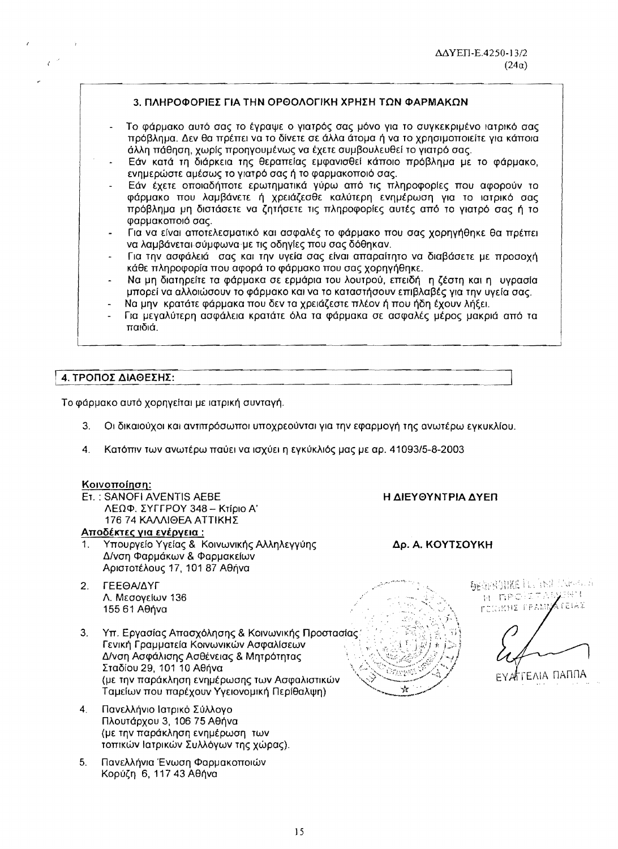# 3. ΠΛΗΡΟΦΟΡΙΕΣ ΓΙΑ ΤΗΝ ΟΡΘΟΛΟΓΙΚΗ ΧΡΗΣΗ ΤΩΝ ΦΑΡΜΑΚΩΝ

- Το φάρμακο αυτό σας το έγραψε ο γιατρός σας μόνο για το συγκεκριμένο ιατρικό σας πρόβλημα. Δεν θα πρέπει να το δίνετε σε άλλα άτομα ή να το χρησιμοποιείτε για κάποια άλλη πάθηση, χωρίς προηγουμένως να έχετε συμβουλευθεί το γιατρό σας.
- Εάν κατά τη διάρκεια της θεραπείας εμφανισθεί κάποιο πρόβλημα με το φάρμακο, ενημερώστε αμέσως το γιατρό σας ή το φαρμακοποιό σας.
- Εάν έχετε οποιαδήποτε ερωτηματικά γύρω από τις πληροφορίες που αφορούν το φάρμακο που λαμβάνετε ή χρειάζεσθε καλύτερη ενημέρωση για το ιατρικό σας πρόβλημα μη διστάσετε να ζητήσετε τις πληροφορίες αυτές από το γιατρό σας ή το φαρμακοποιό σας.
- Για να είναι αποτελεσματικό και ασφαλές το φάρμακο που σας χορηγήθηκε θα πρέπει να λαμβάνεται σύμφωνα με τις οδηγίες που σας δόθηκαν.
- Για την ασφάλειά σας και την υγεία σας είναι απαραίτητο να διαβάσετε με προσοχή κάθε πληροφορία που αφορά το φάρμακο που σας χορηγήθηκε.
- Να μη διατηρείτε τα φάρμακα σε ερμάρια του λουτρού, επειδή η ζέστη και η υγρασία μπορεί να αλλοιώσουν το φάρμακο και να το καταστήσουν επιβλαβές για την υγεία σας.
- Να μην κρατάτε φάρμακα που δεν τα χρειάζεστε πλέον ή που ήδη έχουν λήξει.
- Για μεγαλύτερη ασφάλεια κρατάτε όλα τα φάρμακα σε ασφαλές μέρος μακριά από τα παιδιά.

# 4. ΤΡΟΠΟΣ ΔΙΑΘΕΣΗΣ:

Το φάρμακο αυτό χορηγείται με ιατρική συνταγή.

- $3<sub>1</sub>$ Οι δικαιούχοι και αντιπρόσωποι υποχρεούνται για την εφαρμογή της ανωτέρω εγκυκλίου.
- Κατόπιν των ανωτέρω παύει να ισχύει η εγκύκλιός μας με αρ. 41093/5-8-2003 4.

#### Κοινοποίηση:

ET.: SANOFI AVENTIS AEBE ΛΕΩΦ. ΣΥΓΓΡΟΥ 348 - Κτίριο Α' 176 74 ΚΑΛΛΙΘΕΑ ΑΤΤΙΚΗΣ

# Αποδέκτες για εγέργεια:

- Υπουργείο Υγείας & Κοινωνικής Αλληλεγγύης  $1<sub>1</sub>$ Δ/νση Φαρμάκων & Φαρμακείων Αριστοτέλους 17, 101 87 Αθήνα
- ΓΕΕΘΑ/ΔΥΓ  $2<sub>1</sub>$ Λ. Μεσονείων 136 155 61 Αθήνα
- 3. Υπ. Εργασίας Απασχόλησης & Κοινωνικής Προστασίας. Γενική Γραμματεία Κοινωνικών Ασφαλίσεων Δ/νση Ασφάλισης Ασθένειας & Μητρότητας Σταδίου 29, 101 10 Αθήνα (με την παράκληση ενημέρωσης των Ασφαλιστικών Ταμείων που παρέχουν Υγειονομική Περίθαλψη)
- Πανελλήνιο Ιατρικό Σύλλογο  $4<sub>1</sub>$ Πλουτάρχου 3, 106 75 Αθήνα (με την παράκληση ενημέρωση των τοπικών Ιατρικών Συλλόγων της χώρας).
- $5.$ Πανελλήνια Ένωση Φαρμακοποιών Κορύζη 6, 117 43 Αθήνα



Η ΔΙΕΥΘΥΝΤΡΙΑ ΔΥΕΠ

Δρ. Α. ΚΟΥΤΣΟΥΚΗ

DECEMBRIE L. INTENDA H RPOIL **FEIGRHE FEANL** STEIAZ

ЕҮАГГЕЛІА ПАППА